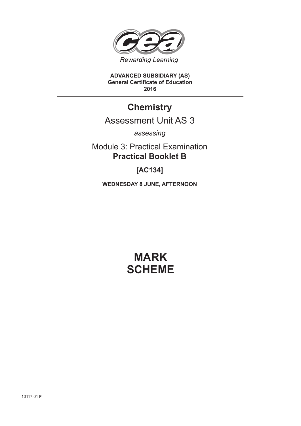

**ADVANCED SUBSIDIARY (AS) General Certificate of Education 2016**

# **Chemistry**

# Assessment Unit AS 3

*assessing*

Module 3: Practical Examination **Practical Booklet B**

# **[AC134]**

**WEDNESDAY 8 JUNE, AFTERNOON**

# **MARK SCHEME**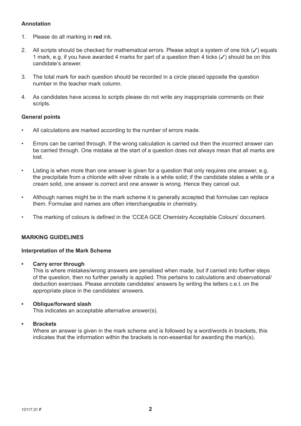# **Annotation**

- 1. Please do all marking in **red** ink.
- 2. All scripts should be checked for mathematical errors. Please adopt a system of one tick  $(\checkmark)$  equals 1 mark, e.g. if you have awarded 4 marks for part of a question then 4 ticks  $(\checkmark)$  should be on this candidate's answer.
- 3. The total mark for each question should be recorded in a circle placed opposite the question number in the teacher mark column.
- 4. As candidates have access to scripts please do not write any inappropriate comments on their scripts.

### **General points**

- All calculations are marked according to the number of errors made.
- Errors can be carried through. If the wrong calculation is carried out then the incorrect answer can be carried through. One mistake at the start of a question does not always mean that all marks are lost.
- Listing is when more than one answer is given for a question that only requires one answer, e.g. the precipitate from a chloride with silver nitrate is a white solid; if the candidate states a white or a cream solid, one answer is correct and one answer is wrong. Hence they cancel out.
- Although names might be in the mark scheme it is generally accepted that formulae can replace them. Formulae and names are often interchangeable in chemistry.
- The marking of colours is defined in the 'CCEA GCE Chemistry Acceptable Colours' document.

## **MARKING GUIDELINES**

#### **Interpretation of the Mark Scheme**

**• Carry error through**

 This is where mistakes/wrong answers are penalised when made, but if carried into further steps of the question, then no further penalty is applied. This pertains to calculations and observational/ deduction exercises. Please annotate candidates' answers by writing the letters c.e.t. on the appropriate place in the candidates' answers.

#### **• Oblique/forward slash**

This indicates an acceptable alternative answer(s).

#### **• Brackets**

 Where an answer is given in the mark scheme and is followed by a word/words in brackets, this indicates that the information within the brackets is non-essential for awarding the mark(s).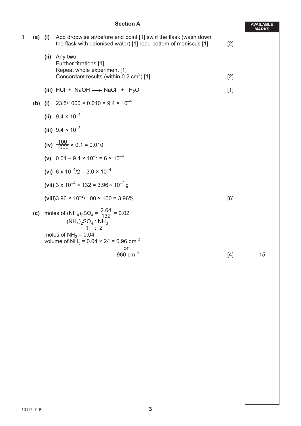## **Section A**

**AVAILABLE**

|   |     |     |                                                                                                                                             |       | <b>MARKS</b> |
|---|-----|-----|---------------------------------------------------------------------------------------------------------------------------------------------|-------|--------------|
| 1 |     |     | (a) (i) Add dropwise at/before end point [1] swirl the flask (wash down<br>the flask with deionised water) [1] read bottom of meniscus [1]. | $[2]$ |              |
|   |     |     | (ii) Any two<br>Further titrations [1]<br>Repeat whole experiment [1]<br>Concordant results (within 0.2 cm <sup>3</sup> ) [1]               | $[2]$ |              |
|   |     |     | (iii) HCl + NaOH $\longrightarrow$ NaCl + H <sub>2</sub> O                                                                                  | $[1]$ |              |
|   | (b) | (i) | $23.5/1000 \times 0.040 = 9.4 \times 10^{-4}$                                                                                               |       |              |
|   |     |     | (ii) $9.4 \times 10^{-4}$                                                                                                                   |       |              |
|   |     |     | (iii) $9.4 \times 10^{-3}$                                                                                                                  |       |              |
|   |     |     | (iv) $\frac{100}{1000} \times 0.1 = 0.010$                                                                                                  |       |              |
|   |     |     | (v) $0.01 - 9.4 \times 10^{-3} = 6 \times 10^{-4}$                                                                                          |       |              |
|   |     |     | (vi) $6 \times 10^{-4}/2 = 3.0 \times 10^{-4}$                                                                                              |       |              |
|   |     |     | (vii) $3 \times 10^{-4} \times 132 = 3.96 \times 10^{-2}$ g                                                                                 |       |              |
|   |     |     | (viii) 3.96 $\times$ 10 <sup>-2</sup> /1.00 $\times$ 100 = 3.96%                                                                            | [6]   |              |
|   |     |     | (c) moles of $(NH_4)_2SO_4 = \frac{2.64}{132} = 0.02$<br>$(NH_4)_2SO_4 : NH_3$<br>1 : 2                                                     |       |              |
|   |     |     | moles of $NH3 = 0.04$<br>volume of NH <sub>3</sub> = 0.04 $\times$ 24 = 0.96 dm <sup>3</sup>                                                |       |              |
|   |     |     | or<br>960 cm $3$                                                                                                                            | $[4]$ | 15           |
|   |     |     |                                                                                                                                             |       |              |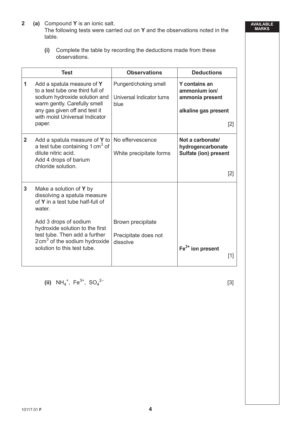- **2 (a)** Compound **Y** is an ionic salt. The following tests were carried out on **Y** and the observations noted in the table.
	- **(i)** Complete the table by recording the deductions made from these observations.

|              | <b>Test</b>                                                                                                                                                                                                                                                                    | <b>Observations</b>                                        | <b>Deductions</b>                                                                       |
|--------------|--------------------------------------------------------------------------------------------------------------------------------------------------------------------------------------------------------------------------------------------------------------------------------|------------------------------------------------------------|-----------------------------------------------------------------------------------------|
| 1            | Add a spatula measure of Y<br>to a test tube one third full of<br>sodium hydroxide solution and<br>warm gently. Carefully smell<br>any gas given off and test it<br>with moist Universal Indicator<br>paper.                                                                   | Pungent/choking smell<br>Universal Indicator turns<br>blue | <b>Y</b> contains an<br>ammonium ion/<br>ammonia present<br>alkaline gas present<br>[2] |
| $\mathbf{2}$ | Add a spatula measure of Y to<br>a test tube containing 1 cm <sup>3</sup> of<br>dilute nitric acid.<br>Add 4 drops of barium<br>chloride solution.                                                                                                                             | No effervescence<br>White precipitate forms                | Not a carbonate/<br>hydrogencarbonate<br>Sulfate (ion) present<br>[2]                   |
| $\mathbf{3}$ | Make a solution of Y by<br>dissolving a spatula measure<br>of Y in a test tube half-full of<br>water.<br>Add 3 drops of sodium<br>hydroxide solution to the first<br>test tube. Then add a further<br>2 cm <sup>3</sup> of the sodium hydroxide<br>solution to this test tube. | Brown precipitate<br>Precipitate does not<br>dissolve      | $Fe3+$ ion present<br>[1]                                                               |

**(ii)**  $NH_4^+$ ,  $Fe^{3+}$ ,  $SO_4$ 

 $2-$  [3]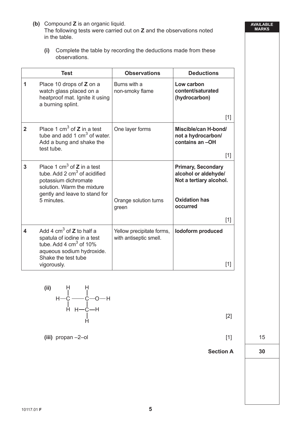- **(b)** Compound **Z** is an organic liquid. The following tests were carried out on **Z** and the observations noted in the table.
	- **(i)** Complete the table by recording the deductions made from these observations.

|                | <b>Test</b>                                                                                                                                                       | <b>Observations</b>                                 | <b>Deductions</b>                                                            |  |
|----------------|-------------------------------------------------------------------------------------------------------------------------------------------------------------------|-----------------------------------------------------|------------------------------------------------------------------------------|--|
| 1              | Place 10 drops of Z on a<br>watch glass placed on a<br>heatproof mat. Ignite it using<br>a burning splint.                                                        | Burns with a<br>non-smoky flame                     | Low carbon<br>content/saturated<br>(hydrocarbon)                             |  |
|                |                                                                                                                                                                   |                                                     | $[1]$                                                                        |  |
| $\overline{2}$ | Place 1 cm <sup>3</sup> of $Z$ in a test<br>tube and add 1 $cm3$ of water.<br>Add a bung and shake the<br>test tube.                                              | One layer forms                                     | Miscible/can H-bond/<br>not a hydrocarbon/<br>contains an -OH                |  |
|                |                                                                                                                                                                   |                                                     | [1]                                                                          |  |
| 3              | Place 1 cm <sup>3</sup> of $Z$ in a test<br>tube. Add 2 $cm3$ of acidified<br>potassium dichromate<br>solution. Warm the mixture<br>gently and leave to stand for |                                                     | <b>Primary, Secondary</b><br>alcohol or aldehyde/<br>Not a tertiary alcohol. |  |
|                | 5 minutes.                                                                                                                                                        | Orange solution turns<br>green                      | <b>Oxidation has</b><br>occurred                                             |  |
|                |                                                                                                                                                                   |                                                     | [1]                                                                          |  |
| 4              | Add 4 $\text{cm}^3$ of <b>Z</b> to half a<br>spatula of iodine in a test<br>tube. Add 4 $\text{cm}^3$ of 10%<br>aqueous sodium hydroxide.<br>Shake the test tube  | Yellow precipitate forms,<br>with antiseptic smell. | lodoform produced                                                            |  |
|                | vigorously.                                                                                                                                                       |                                                     | $[1]$                                                                        |  |



H

**(iii)** propan –2–ol [1] 15

**AVAILABLE MARKS**

Section A 30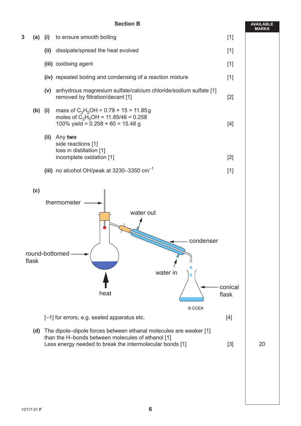### **Section B**